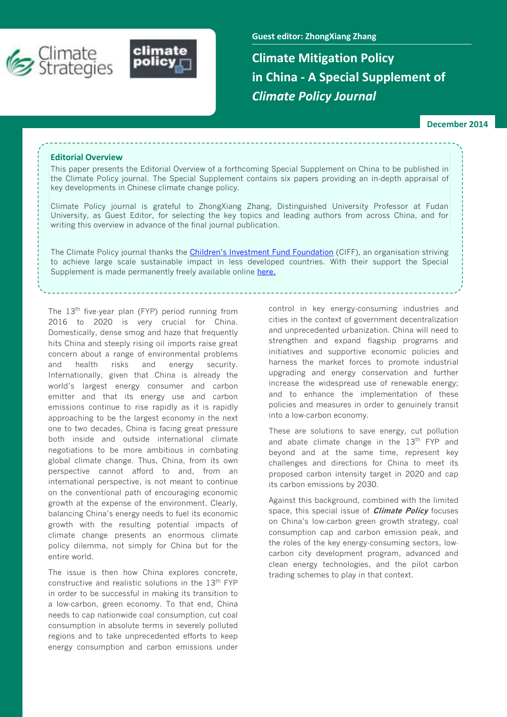



**Guest editor: ZhongXiang Zhang**

**Climate Mitigation Policy in China - A Special Supplement of**  *Climate Policy Journal*

**December 2014**

#### **Editorial Overview**

This paper presents the Editorial Overview of a forthcoming Special Supplement on China to be published in the Climate Policy journal. The Special Supplement contains six papers providing an in-depth appraisal of key developments in Chinese climate change policy.

Climate Policy journal is grateful to ZhongXiang Zhang, Distinguished University Professor at Fudan University, as Guest Editor, for selecting the key topics and leading authors from across China, and for writing this overview in advance of the final journal publication.

The Climate Policy journal thanks the [Children's Investment Fund Foundation](http://ciff.org/) (CIFF), an organisation striving to achieve large scale sustainable impact in less developed countries. With their support the Special Supplement is made permanently freely available online [here](http://www.tandfonline.com/action/doUpdateAlertSettings?action=addJournal&journalCode=tcpo20&referrer=%2Ftoc%2Ftcpo20%2Fcurrent).

The 13<sup>th</sup> five-year plan (FYP) period running from 2016 to 2020 is very crucial for China. Domestically, dense smog and haze that frequently hits China and steeply rising oil imports raise great concern about a range of environmental problems and health risks and energy security. Internationally, given that China is already the world's largest energy consumer and carbon emitter and that its energy use and carbon emissions continue to rise rapidly as it is rapidly approaching to be the largest economy in the next one to two decades, China is facing great pressure both inside and outside international climate negotiations to be more ambitious in combating global climate change. Thus, China, from its own perspective cannot afford to and, from an international perspective, is not meant to continue on the conventional path of encouraging economic growth at the expense of the environment. Clearly, balancing China's energy needs to fuel its economic growth with the resulting potential impacts of climate change presents an enormous climate policy dilemma, not simply for China but for the entire world.

The issue is then how China explores concrete, constructive and realistic solutions in the 13<sup>th</sup> FYP in order to be successful in making its transition to a low-carbon, green economy. To that end, China needs to cap nationwide coal consumption, cut coal consumption in absolute terms in severely polluted regions and to take unprecedented efforts to keep energy consumption and carbon emissions under control in key energy-consuming industries and cities in the context of government decentralization and unprecedented urbanization. China will need to strengthen and expand flagship programs and initiatives and supportive economic policies and harness the market forces to promote industrial upgrading and energy conservation and further increase the widespread use of renewable energy; and to enhance the implementation of these policies and measures in order to genuinely transit into a low-carbon economy.

These are solutions to save energy, cut pollution and abate climate change in the  $13<sup>th</sup>$  FYP and beyond and at the same time, represent key challenges and directions for China to meet its proposed carbon intensity target in 2020 and cap its carbon emissions by 2030.

Against this background, combined with the limited space, this special issue of **Climate Policy** focuses on China's low-carbon green growth strategy, coal consumption cap and carbon emission peak, and the roles of the key energy-consuming sectors, lowcarbon city development program, advanced and clean energy technologies, and the pilot carbon trading schemes to play in that context.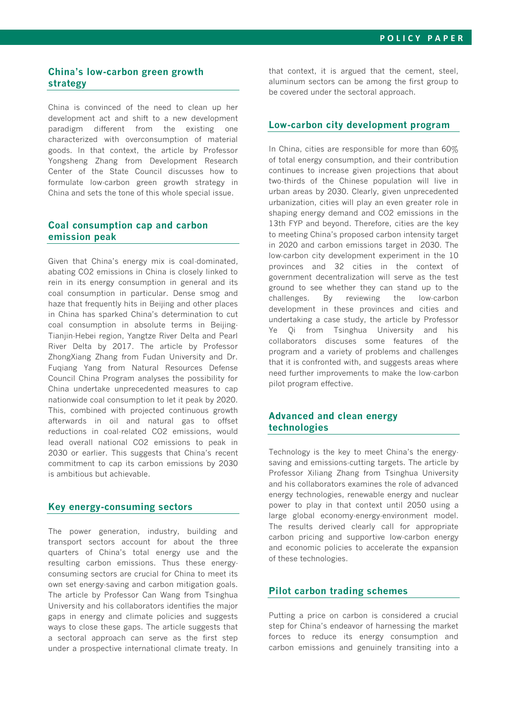# **China's low-carbon green growth strategy**

China is convinced of the need to clean up her development act and shift to a new development paradigm different from the existing one characterized with overconsumption of material goods. In that context, the article by Professor Yongsheng Zhang from Development Research Center of the State Council discusses how to formulate low-carbon green growth strategy in China and sets the tone of this whole special issue.

#### **Coal consumption cap and carbon emission peak**

Given that China's energy mix is coal-dominated, abating CO2 emissions in China is closely linked to rein in its energy consumption in general and its coal consumption in particular. Dense smog and haze that frequently hits in Beijing and other places in China has sparked China's determination to cut coal consumption in absolute terms in Beijing-Tianjin-Hebei region, Yangtze River Delta and Pearl River Delta by 2017. The article by Professor ZhongXiang Zhang from Fudan University and Dr. Fuqiang Yang from Natural Resources Defense Council China Program analyses the possibility for China undertake unprecedented measures to cap nationwide coal consumption to let it peak by 2020. This, combined with projected continuous growth afterwards in oil and natural gas to offset reductions in coal-related CO2 emissions, would lead overall national CO2 emissions to peak in 2030 or earlier. This suggests that China's recent commitment to cap its carbon emissions by 2030 is ambitious but achievable.

# **Key energy-consuming sectors**

The power generation, industry, building and transport sectors account for about the three quarters of China's total energy use and the resulting carbon emissions. Thus these energyconsuming sectors are crucial for China to meet its own set energy-saving and carbon mitigation goals. The article by Professor Can Wang from Tsinghua University and his collaborators identifies the major gaps in energy and climate policies and suggests ways to close these gaps. The article suggests that a sectoral approach can serve as the first step under a prospective international climate treaty. In that context, it is argued that the cement, steel, aluminum sectors can be among the first group to be covered under the sectoral approach.

## **Low-carbon city development program**

In China, cities are responsible for more than 60% of total energy consumption, and their contribution continues to increase given projections that about two-thirds of the Chinese population will live in urban areas by 2030. Clearly, given unprecedented urbanization, cities will play an even greater role in shaping energy demand and CO2 emissions in the 13th FYP and beyond. Therefore, cities are the key to meeting China's proposed carbon intensity target in 2020 and carbon emissions target in 2030. The low-carbon city development experiment in the 10 provinces and 32 cities in the context of government decentralization will serve as the test ground to see whether they can stand up to the challenges. By reviewing the low-carbon development in these provinces and cities and undertaking a case study, the article by Professor Ye Qi from Tsinghua University and his collaborators discuses some features of the program and a variety of problems and challenges that it is confronted with, and suggests areas where need further improvements to make the low-carbon pilot program effective.

# **Advanced and clean energy technologies**

Technology is the key to meet China's the energysaving and emissions-cutting targets. The article by Professor Xiliang Zhang from Tsinghua University and his collaborators examines the role of advanced energy technologies, renewable energy and nuclear power to play in that context until 2050 using a large global economy-energy-environment model. The results derived clearly call for appropriate carbon pricing and supportive low-carbon energy and economic policies to accelerate the expansion of these technologies.

#### **Pilot carbon trading schemes**

Putting a price on carbon is considered a crucial step for China's endeavor of harnessing the market forces to reduce its energy consumption and carbon emissions and genuinely transiting into a